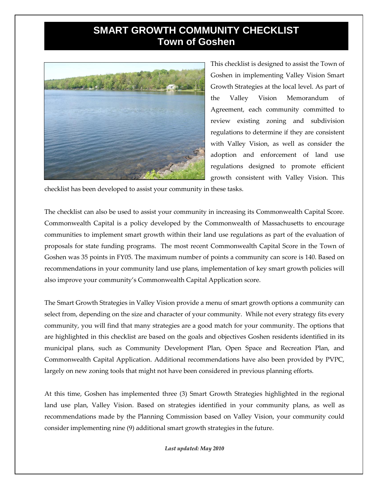## **SMART GROWTH COMMUNITY CHECKLIST Town of Goshen**



This checklist is designed to assist the Town of Goshen in implementing Valley Vision Smart Growth Strategies at the local level. As part of the Valley Vision Memorandum of Agreement, each community committed to review existing zoning and subdivision regulations to determine if they are consistent with Valley Vision, as well as consider the adoption and enforcement of land use regulations designed to promote efficient growth consistent with Valley Vision. This

checklist has been developed to assist your community in these tasks.

The checklist can also be used to assist your community in increasing its Commonwealth Capital Score. Commonwealth Capital is a policy developed by the Commonwealth of Massachusetts to encourage communities to implement smart growth within their land use regulations as part of the evaluation of proposals for state funding programs. The most recent Commonwealth Capital Score in the Town of Goshen was 35 points in FY05. The maximum number of points a community can score is 140. Based on recommendations in your community land use plans, implementation of key smart growth policies will also improve your community's Commonwealth Capital Application score.

The Smart Growth Strategies in Valley Vision provide a menu of smart growth options a community can select from, depending on the size and character of your community. While not every strategy fits every community, you will find that many strategies are a good match for your community. The options that are highlighted in this checklist are based on the goals and objectives Goshen residents identified in its municipal plans, such as Community Development Plan, Open Space and Recreation Plan, and Commonwealth Capital Application. Additional recommendations have also been provided by PVPC, largely on new zoning tools that might not have been considered in previous planning efforts.

At this time, Goshen has implemented three (3) Smart Growth Strategies highlighted in the regional land use plan, Valley Vision. Based on strategies identified in your community plans, as well as recommendations made by the Planning Commission based on Valley Vision, your community could consider implementing nine (9) additional smart growth strategies in the future.

*Last updated: May 2010*